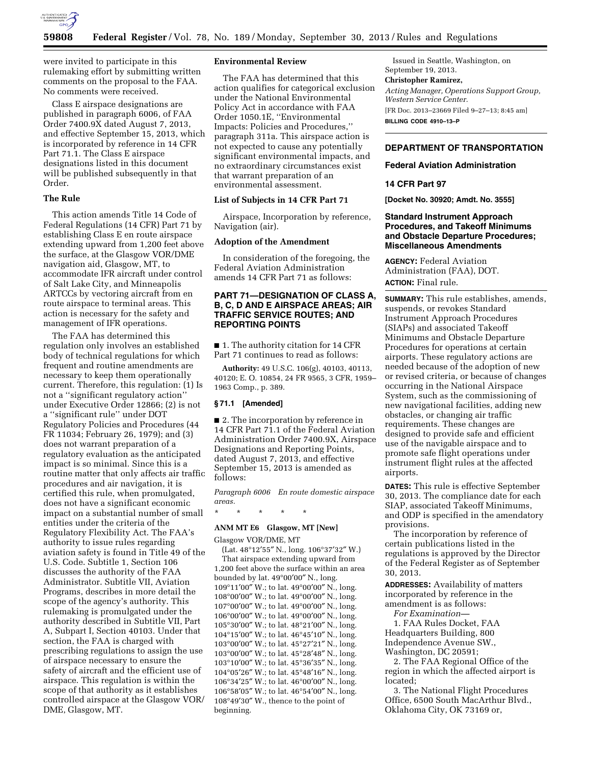

were invited to participate in this rulemaking effort by submitting written comments on the proposal to the FAA. No comments were received.

Class E airspace designations are published in paragraph 6006, of FAA Order 7400.9X dated August 7, 2013, and effective September 15, 2013, which is incorporated by reference in 14 CFR Part 71.1. The Class E airspace designations listed in this document will be published subsequently in that Order.

#### **The Rule**

This action amends Title 14 Code of Federal Regulations (14 CFR) Part 71 by establishing Class E en route airspace extending upward from 1,200 feet above the surface, at the Glasgow VOR/DME navigation aid, Glasgow, MT, to accommodate IFR aircraft under control of Salt Lake City, and Minneapolis ARTCCs by vectoring aircraft from en route airspace to terminal areas. This action is necessary for the safety and management of IFR operations.

The FAA has determined this regulation only involves an established body of technical regulations for which frequent and routine amendments are necessary to keep them operationally current. Therefore, this regulation: (1) Is not a ''significant regulatory action'' under Executive Order 12866; (2) is not a ''significant rule'' under DOT Regulatory Policies and Procedures (44 FR 11034; February 26, 1979); and (3) does not warrant preparation of a regulatory evaluation as the anticipated impact is so minimal. Since this is a routine matter that only affects air traffic procedures and air navigation, it is certified this rule, when promulgated, does not have a significant economic impact on a substantial number of small entities under the criteria of the Regulatory Flexibility Act. The FAA's authority to issue rules regarding aviation safety is found in Title 49 of the U.S. Code. Subtitle 1, Section 106 discusses the authority of the FAA Administrator. Subtitle VII, Aviation Programs, describes in more detail the scope of the agency's authority. This rulemaking is promulgated under the authority described in Subtitle VII, Part A, Subpart I, Section 40103. Under that section, the FAA is charged with prescribing regulations to assign the use of airspace necessary to ensure the safety of aircraft and the efficient use of airspace. This regulation is within the scope of that authority as it establishes controlled airspace at the Glasgow VOR/ DME, Glasgow, MT.

#### **Environmental Review**

The FAA has determined that this action qualifies for categorical exclusion under the National Environmental Policy Act in accordance with FAA Order 1050.1E, ''Environmental Impacts: Policies and Procedures,'' paragraph 311a. This airspace action is not expected to cause any potentially significant environmental impacts, and no extraordinary circumstances exist that warrant preparation of an environmental assessment.

# **List of Subjects in 14 CFR Part 71**

Airspace, Incorporation by reference, Navigation (air).

## **Adoption of the Amendment**

In consideration of the foregoing, the Federal Aviation Administration amends 14 CFR Part 71 as follows:

# **PART 71—DESIGNATION OF CLASS A, B, C, D AND E AIRSPACE AREAS; AIR TRAFFIC SERVICE ROUTES; AND REPORTING POINTS**

■ 1. The authority citation for 14 CFR Part 71 continues to read as follows:

**Authority:** 49 U.S.C. 106(g), 40103, 40113, 40120; E. O. 10854, 24 FR 9565, 3 CFR, 1959– 1963 Comp., p. 389.

#### **§ 71.1 [Amended]**

■ 2. The incorporation by reference in 14 CFR Part 71.1 of the Federal Aviation Administration Order 7400.9X, Airspace Designations and Reporting Points, dated August 7, 2013, and effective September 15, 2013 is amended as follows:

*Paragraph 6006 En route domestic airspace areas.* 

#### **ANM MT E6 Glasgow, MT [New]**

Glasgow VOR/DME, MT

\* \* \* \* \*

(Lat. 48°12′55″ N., long. 106°37′32″ W.) That airspace extending upward from 1,200 feet above the surface within an area bounded by lat. 49°00′00″ N., long. °11′00″ W.; to lat. 49°00′00″ N., long. °00′00″ W.; to lat. 49°00′00″ N., long. °00′00″ W.; to lat. 49°00′00″ N., long. °00′00″ W.; to lat. 49°00′00″ N., long. °30′00″ W.; to lat. 48°21′00″ N., long. °15′00″ W.; to lat. 46°45′10″ N., long. °00′00″ W.; to lat. 45°27′21″ N., long. °00′00″ W.; to lat. 45°28′48″ N., long. °10′00″ W.; to lat. 45°36′35″ N., long. °05′26″ W.; to lat. 45°48′16″ N., long. °34′25″ W.; to lat. 46°00′00″ N., long. °58′05″ W.; to lat. 46°54′00″ N., long. °49′30″ W., thence to the point of beginning.

Issued in Seattle, Washington, on September 19, 2013.

#### **Christopher Ramirez,**

*Acting Manager, Operations Support Group, Western Service Center.* 

[FR Doc. 2013–23669 Filed 9–27–13; 8:45 am] **BILLING CODE 4910–13–P** 

# **DEPARTMENT OF TRANSPORTATION**

### **Federal Aviation Administration**

### **14 CFR Part 97**

**[Docket No. 30920; Amdt. No. 3555]** 

## **Standard Instrument Approach Procedures, and Takeoff Minimums and Obstacle Departure Procedures; Miscellaneous Amendments**

**AGENCY:** Federal Aviation Administration (FAA), DOT. **ACTION:** Final rule.

**SUMMARY:** This rule establishes, amends, suspends, or revokes Standard Instrument Approach Procedures (SIAPs) and associated Takeoff Minimums and Obstacle Departure Procedures for operations at certain airports. These regulatory actions are needed because of the adoption of new or revised criteria, or because of changes occurring in the National Airspace System, such as the commissioning of new navigational facilities, adding new obstacles, or changing air traffic requirements. These changes are designed to provide safe and efficient use of the navigable airspace and to promote safe flight operations under instrument flight rules at the affected airports.

**DATES:** This rule is effective September 30, 2013. The compliance date for each SIAP, associated Takeoff Minimums, and ODP is specified in the amendatory provisions.

The incorporation by reference of certain publications listed in the regulations is approved by the Director of the Federal Register as of September 30, 2013.

**ADDRESSES:** Availability of matters incorporated by reference in the amendment is as follows:

*For Examination—* 

1. FAA Rules Docket, FAA Headquarters Building, 800 Independence Avenue SW., Washington, DC 20591;

2. The FAA Regional Office of the region in which the affected airport is located;

3. The National Flight Procedures Office, 6500 South MacArthur Blvd., Oklahoma City, OK 73169 or,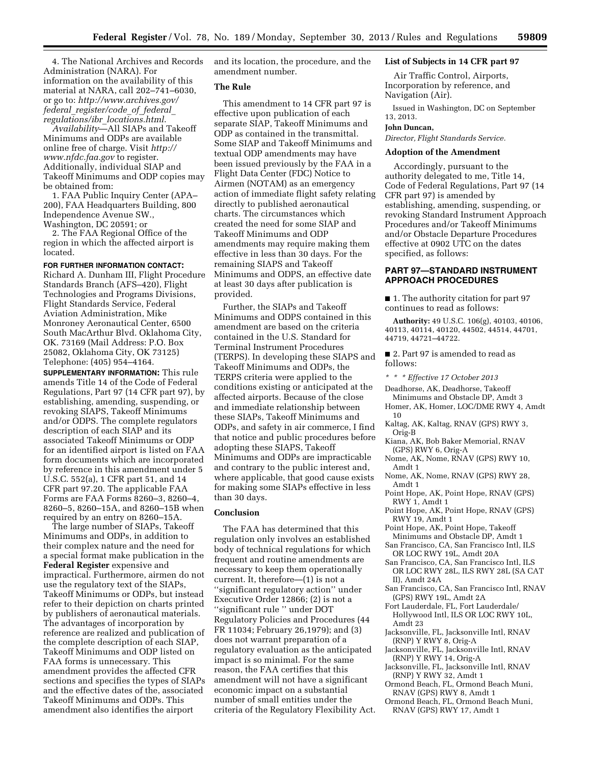4. The National Archives and Records Administration (NARA). For information on the availability of this material at NARA, call 202–741–6030, or go to: *[http://www.archives.gov/](http://www.archives.gov/federal_register/code_of_federal_regulations/ibr_locations.html) federal*\_*[register/code](http://www.archives.gov/federal_register/code_of_federal_regulations/ibr_locations.html)*\_*of*\_*federal*\_ *[regulations/ibr](http://www.archives.gov/federal_register/code_of_federal_regulations/ibr_locations.html)*\_*locations.html*.

*Availability*—All SIAPs and Takeoff Minimums and ODPs are available online free of charge. Visit *[http://](http://www.nfdc.faa.gov) [www.nfdc.faa.gov](http://www.nfdc.faa.gov)* to register. Additionally, individual SIAP and Takeoff Minimums and ODP copies may be obtained from:

1. FAA Public Inquiry Center (APA– 200), FAA Headquarters Building, 800 Independence Avenue SW., Washington, DC 20591; or

2. The FAA Regional Office of the region in which the affected airport is located.

### **FOR FURTHER INFORMATION CONTACT:**

Richard A. Dunham III, Flight Procedure Standards Branch (AFS–420), Flight Technologies and Programs Divisions, Flight Standards Service, Federal Aviation Administration, Mike Monroney Aeronautical Center, 6500 South MacArthur Blvd. Oklahoma City, OK. 73169 (Mail Address: P.O. Box 25082, Oklahoma City, OK 73125) Telephone: (405) 954–4164.

**SUPPLEMENTARY INFORMATION:** This rule amends Title 14 of the Code of Federal Regulations, Part 97 (14 CFR part 97), by establishing, amending, suspending, or revoking SIAPS, Takeoff Minimums and/or ODPS. The complete regulators description of each SIAP and its associated Takeoff Minimums or ODP for an identified airport is listed on FAA form documents which are incorporated by reference in this amendment under 5 U.S.C. 552(a), 1 CFR part 51, and 14 CFR part 97.20. The applicable FAA Forms are FAA Forms 8260–3, 8260–4, 8260–5, 8260–15A, and 8260–15B when required by an entry on 8260–15A.

The large number of SIAPs, Takeoff Minimums and ODPs, in addition to their complex nature and the need for a special format make publication in the **Federal Register** expensive and impractical. Furthermore, airmen do not use the regulatory text of the SIAPs, Takeoff Minimums or ODPs, but instead refer to their depiction on charts printed by publishers of aeronautical materials. The advantages of incorporation by reference are realized and publication of the complete description of each SIAP, Takeoff Minimums and ODP listed on FAA forms is unnecessary. This amendment provides the affected CFR sections and specifies the types of SIAPs and the effective dates of the, associated Takeoff Minimums and ODPs. This amendment also identifies the airport

and its location, the procedure, and the amendment number.

### **The Rule**

This amendment to 14 CFR part 97 is effective upon publication of each separate SIAP, Takeoff Minimums and ODP as contained in the transmittal. Some SIAP and Takeoff Minimums and textual ODP amendments may have been issued previously by the FAA in a Flight Data Center (FDC) Notice to Airmen (NOTAM) as an emergency action of immediate flight safety relating directly to published aeronautical charts. The circumstances which created the need for some SIAP and Takeoff Minimums and ODP amendments may require making them effective in less than 30 days. For the remaining SIAPS and Takeoff Minimums and ODPS, an effective date at least 30 days after publication is provided.

Further, the SIAPs and Takeoff Minimums and ODPS contained in this amendment are based on the criteria contained in the U.S. Standard for Terminal Instrument Procedures (TERPS). In developing these SIAPS and Takeoff Minimums and ODPs, the TERPS criteria were applied to the conditions existing or anticipated at the affected airports. Because of the close and immediate relationship between these SIAPs, Takeoff Minimums and ODPs, and safety in air commerce, I find that notice and public procedures before adopting these SIAPS, Takeoff Minimums and ODPs are impracticable and contrary to the public interest and, where applicable, that good cause exists for making some SIAPs effective in less than 30 days.

#### **Conclusion**

The FAA has determined that this regulation only involves an established body of technical regulations for which frequent and routine amendments are necessary to keep them operationally current. It, therefore—(1) is not a ''significant regulatory action'' under Executive Order 12866; (2) is not a ''significant rule '' under DOT Regulatory Policies and Procedures (44 FR 11034; February 26,1979); and (3) does not warrant preparation of a regulatory evaluation as the anticipated impact is so minimal. For the same reason, the FAA certifies that this amendment will not have a significant economic impact on a substantial number of small entities under the criteria of the Regulatory Flexibility Act.

# **List of Subjects in 14 CFR part 97**

Air Traffic Control, Airports, Incorporation by reference, and Navigation (Air).

Issued in Washington, DC on September 13, 2013.

### **John Duncan,**

*Director, Flight Standards Service.* 

# **Adoption of the Amendment**

Accordingly, pursuant to the authority delegated to me, Title 14, Code of Federal Regulations, Part 97 (14 CFR part 97) is amended by establishing, amending, suspending, or revoking Standard Instrument Approach Procedures and/or Takeoff Minimums and/or Obstacle Departure Procedures effective at 0902 UTC on the dates specified, as follows:

# **PART 97—STANDARD INSTRUMENT APPROACH PROCEDURES**

■ 1. The authority citation for part 97 continues to read as follows:

**Authority:** 49 U.S.C. 106(g), 40103, 40106, 40113, 40114, 40120, 44502, 44514, 44701, 44719, 44721–44722.

■ 2. Part 97 is amended to read as follows:

- *\* \* \* Effective 17 October 2013*
- Deadhorse, AK, Deadhorse, Takeoff Minimums and Obstacle DP, Amdt 3 Homer, AK, Homer, LOC/DME RWY 4, Amdt
- 10 Kaltag, AK, Kaltag, RNAV (GPS) RWY 3,
- Orig-B
- Kiana, AK, Bob Baker Memorial, RNAV (GPS) RWY 6, Orig-A
- Nome, AK, Nome, RNAV (GPS) RWY 10, Amdt 1
- Nome, AK, Nome, RNAV (GPS) RWY 28, Amdt 1
- Point Hope, AK, Point Hope, RNAV (GPS) RWY 1, Amdt 1
- Point Hope, AK, Point Hope, RNAV (GPS) RWY 19, Amdt 1
- Point Hope, AK, Point Hope, Takeoff Minimums and Obstacle DP, Amdt 1
- San Francisco, CA, San Francisco Intl, ILS OR LOC RWY 19L, Amdt 20A
- San Francisco, CA, San Francisco Intl, ILS OR LOC RWY 28L, ILS RWY 28L (SA CAT II), Amdt 24A
- San Francisco, CA, San Francisco Intl, RNAV (GPS) RWY 19L, Amdt 2A
- Fort Lauderdale, FL, Fort Lauderdale/
- Hollywood Intl, ILS OR LOC RWY 10L, Amdt 23
- Jacksonville, FL, Jacksonville Intl, RNAV (RNP) Y RWY 8, Orig-A
- Jacksonville, FL, Jacksonville Intl, RNAV (RNP) Y RWY 14, Orig-A
- Jacksonville, FL, Jacksonville Intl, RNAV (RNP) Y RWY 32, Amdt 1
- Ormond Beach, FL, Ormond Beach Muni, RNAV (GPS) RWY 8, Amdt 1
- Ormond Beach, FL, Ormond Beach Muni, RNAV (GPS) RWY 17, Amdt 1